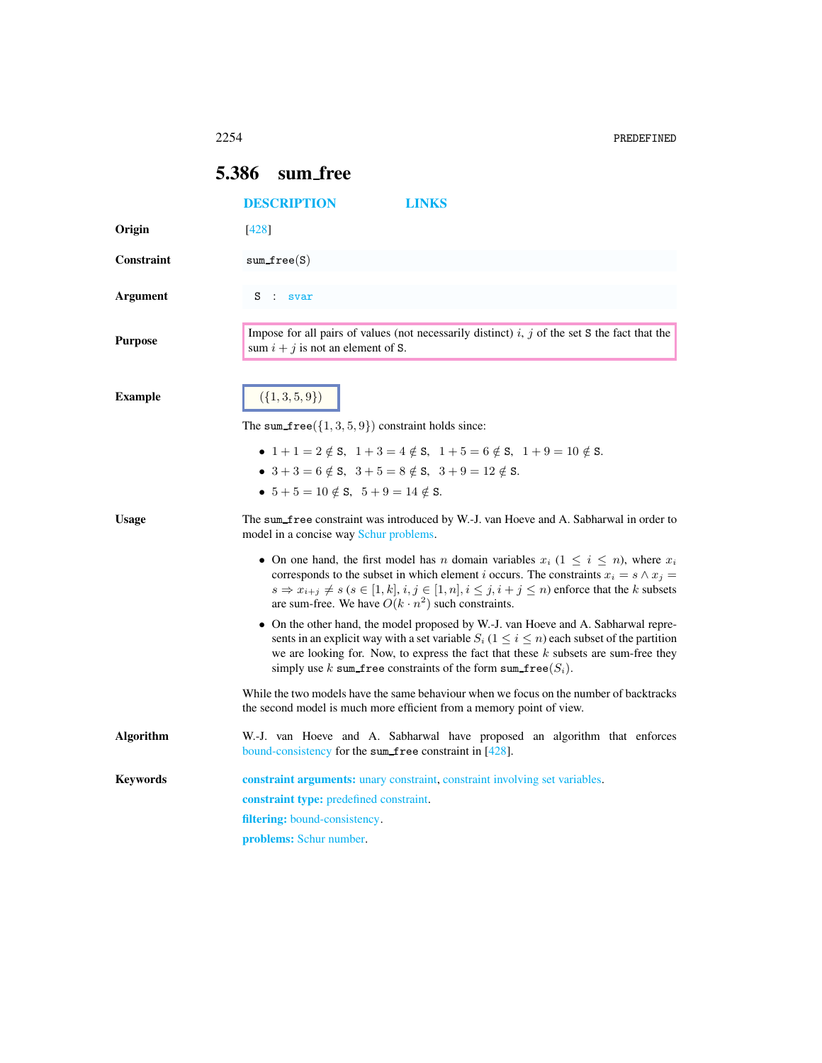2254 PREDEFINED

## <span id="page-0-0"></span>5.386 sum free

<span id="page-0-1"></span>

|                  | <b>DESCRIPTION</b><br>LINKS                                                                                                                                                                                                                                                                                                                                                                            |
|------------------|--------------------------------------------------------------------------------------------------------------------------------------------------------------------------------------------------------------------------------------------------------------------------------------------------------------------------------------------------------------------------------------------------------|
| Origin           | [428]                                                                                                                                                                                                                                                                                                                                                                                                  |
| Constraint       | $sum\_free(S)$                                                                                                                                                                                                                                                                                                                                                                                         |
| Argument         | s<br>$\sim$<br>svar                                                                                                                                                                                                                                                                                                                                                                                    |
| <b>Purpose</b>   | Impose for all pairs of values (not necessarily distinct) $i, j$ of the set S the fact that the<br>sum $i + j$ is not an element of S.                                                                                                                                                                                                                                                                 |
| <b>Example</b>   | $({1, 3, 5, 9})$                                                                                                                                                                                                                                                                                                                                                                                       |
|                  | The sum $free({1, 3, 5, 9})$ constraint holds since:                                                                                                                                                                                                                                                                                                                                                   |
|                  | • $1+1=2 \notin S$ , $1+3=4 \notin S$ , $1+5=6 \notin S$ , $1+9=10 \notin S$ .<br>• $3 + 3 = 6 \notin S$ , $3 + 5 = 8 \notin S$ , $3 + 9 = 12 \notin S$ .<br>• $5+5=10 \notin S$ , $5+9=14 \notin S$ .                                                                                                                                                                                                 |
| <b>Usage</b>     | The sum_free constraint was introduced by W.-J. van Hoeve and A. Sabharwal in order to<br>model in a concise way Schur problems.                                                                                                                                                                                                                                                                       |
|                  | • On one hand, the first model has <i>n</i> domain variables $x_i$ ( $1 \leq i \leq n$ ), where $x_i$<br>corresponds to the subset in which element <i>i</i> occurs. The constraints $x_i = s \wedge x_j =$<br>$s \Rightarrow x_{i+j} \neq s$ ( $s \in [1, k]$ , $i, j \in [1, n]$ , $i \leq j, i + j \leq n$ ) enforce that the k subsets<br>are sum-free. We have $O(k \cdot n^2)$ such constraints. |
|                  | • On the other hand, the model proposed by W.-J. van Hoeve and A. Sabharwal repre-<br>sents in an explicit way with a set variable $S_i$ ( $1 \le i \le n$ ) each subset of the partition<br>we are looking for. Now, to express the fact that these $k$ subsets are sum-free they<br>simply use k sum free constraints of the form sum free( $S_i$ ).                                                 |
|                  | While the two models have the same behaviour when we focus on the number of backtracks<br>the second model is much more efficient from a memory point of view.                                                                                                                                                                                                                                         |
| <b>Algorithm</b> | W.-J. van Hoeve and A. Sabharwal have proposed an algorithm that enforces<br>bound-consistency for the sum free constraint in [428].                                                                                                                                                                                                                                                                   |
| <b>Keywords</b>  | <b>constraint arguments:</b> unary constraint, constraint involving set variables.                                                                                                                                                                                                                                                                                                                     |
|                  | constraint type: predefined constraint.                                                                                                                                                                                                                                                                                                                                                                |
|                  | filtering: bound-consistency.                                                                                                                                                                                                                                                                                                                                                                          |
|                  | <b>problems:</b> Schur number.                                                                                                                                                                                                                                                                                                                                                                         |